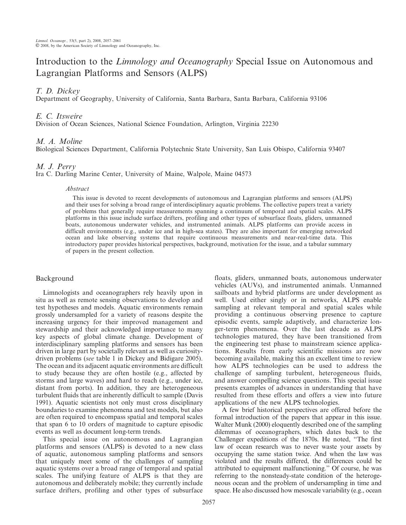# Introduction to the *Limnology and Oceanography* Special Issue on Autonomous and Lagrangian Platforms and Sensors (ALPS)

# T. D. Dickey

Department of Geography, University of California, Santa Barbara, Santa Barbara, California 93106

## E. C. Itsweire

Division of Ocean Sciences, National Science Foundation, Arlington, Virginia 22230

## M. A. Moline

Biological Sciences Department, California Polytechnic State University, San Luis Obispo, California 93407

## M. J. Perry

Ira C. Darling Marine Center, University of Maine, Walpole, Maine 04573

#### Abstract

This issue is devoted to recent developments of autonomous and Lagrangian platforms and sensors (ALPS) and their uses for solving a broad range of interdisciplinary aquatic problems. The collective papers treat a variety of problems that generally require measurements spanning a continuum of temporal and spatial scales. ALPS platforms in this issue include surface drifters, profiling and other types of subsurface floats, gliders, unmanned boats, autonomous underwater vehicles, and instrumented animals. ALPS platforms can provide access in difficult environments (e.g., under ice and in high-sea states). They are also important for emerging networked ocean and lake observing systems that require continuous measurements and near-real-time data. This introductory paper provides historical perspectives, background, motivation for the issue, and a tabular summary of papers in the present collection.

## Background

Limnologists and oceanographers rely heavily upon in situ as well as remote sensing observations to develop and test hypotheses and models. Aquatic environments remain grossly undersampled for a variety of reasons despite the increasing urgency for their improved management and stewardship and their acknowledged importance to many key aspects of global climate change. Development of interdisciplinary sampling platforms and sensors has been driven in large part by societally relevant as well as curiositydriven problems (see table 1 in Dickey and Bidigare 2005). The ocean and its adjacent aquatic environments are difficult to study because they are often hostile (e.g., affected by storms and large waves) and hard to reach (e.g., under ice, distant from ports). In addition, they are heterogeneous turbulent fluids that are inherently difficult to sample (Davis 1991). Aquatic scientists not only must cross disciplinary boundaries to examine phenomena and test models, but also are often required to encompass spatial and temporal scales that span 6 to 10 orders of magnitude to capture episodic events as well as document long-term trends.

This special issue on autonomous and Lagrangian platforms and sensors (ALPS) is devoted to a new class of aquatic, autonomous sampling platforms and sensors that uniquely meet some of the challenges of sampling aquatic systems over a broad range of temporal and spatial scales. The unifying feature of ALPS is that they are autonomous and deliberately mobile; they currently include surface drifters, profiling and other types of subsurface

floats, gliders, unmanned boats, autonomous underwater vehicles (AUVs), and instrumented animals. Unmanned sailboats and hybrid platforms are under development as well. Used either singly or in networks, ALPS enable sampling at relevant temporal and spatial scales while providing a continuous observing presence to capture episodic events, sample adaptively, and characterize longer-term phenomena. Over the last decade as ALPS technologies matured, they have been transitioned from the engineering test phase to mainstream science applications. Results from early scientific missions are now becoming available, making this an excellent time to review how ALPS technologies can be used to address the challenge of sampling turbulent, heterogeneous fluids, and answer compelling science questions. This special issue presents examples of advances in understanding that have resulted from these efforts and offers a view into future applications of the new ALPS technologies.

A few brief historical perspectives are offered before the formal introduction of the papers that appear in this issue. Walter Munk (2000) eloquently described one of the sampling dilemmas of oceanographers, which dates back to the Challenger expeditions of the 1870s. He noted, ''The first law of ocean research was to never waste your assets by occupying the same station twice. And when the law was violated and the results differed, the differences could be attributed to equipment malfunctioning.'' Of course, he was referring to the nonsteady-state condition of the heterogeneous ocean and the problem of undersampling in time and space. He also discussed how mesoscale variability (e.g., ocean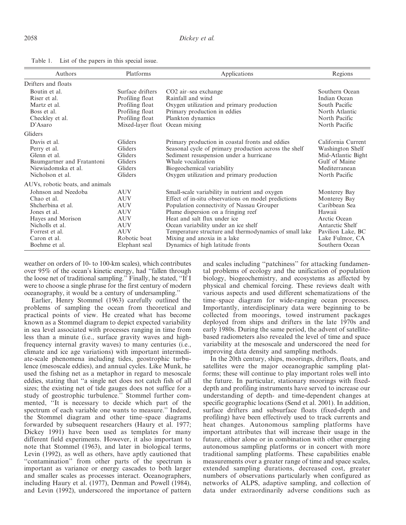| Authors                          | Platforms         | Applications                                           | Regions            |
|----------------------------------|-------------------|--------------------------------------------------------|--------------------|
| Drifters and floats              |                   |                                                        |                    |
| Boutin et al.                    | Surface drifters  | CO <sub>2</sub> air-sea exchange                       | Southern Ocean     |
| Riser et al.                     | Profiling float   | Rainfall and wind                                      | Indian Ocean       |
| Martz et al.                     | Profiling float   | Oxygen utilization and primary production              | South Pacific      |
| Boss et al.                      | Profiling float   | Primary production in eddies                           | North Atlantic     |
| Checkley et al.                  | Profiling float   | Plankton dynamics                                      | North Pacific      |
| D'Asaro                          | Mixed-layer float | Ocean mixing                                           | North Pacific      |
| Gliders                          |                   |                                                        |                    |
| Davis et al.                     | Gliders           | Primary production in coastal fronts and eddies        | California Current |
| Perry et al.                     | Gliders           | Seasonal cycle of primary production across the shelf  | Washington Shelf   |
| Glenn et al.                     | Gliders           | Sediment resuspension under a hurricane                | Mid-Atlantic Bight |
| Baumgartner and Fratantoni       | Gliders           | Whale vocalization                                     | Gulf of Maine      |
| Niewiadomska et al.              | Gliders           | Biogeochemical variability                             | Mediterranean      |
| Nicholson et al.                 | Gliders           | Oxygen utilization and primary production              | North Pacific      |
| AUVs, robotic boats, and animals |                   |                                                        |                    |
| Johnson and Needoba              | AUV               | Small-scale variability in nutrient and oxygen         | Monterey Bay       |
| Chao et al.                      | <b>AUV</b>        | Effect of in-situ observations on model predictions    | Monterey Bay       |
| Shcherbina et al.                | <b>AUV</b>        | Population connectivity of Nassau Grouper              | Caribbean Sea      |
| Jones et al.                     | <b>AUV</b>        | Plume dispersion on a fringing reef                    | Hawaii             |
| Hayes and Morison                | <b>AUV</b>        | Heat and salt flux under ice                           | Arctic Ocean       |
| Nicholls et al.                  | <b>AUV</b>        | Ocean variability under an ice shelf                   | Antarctic Shelf    |
| Forrest et al.                   | <b>AUV</b>        | Temperature structure and thermodynamics of small lake | Pavilion Lake, BC  |
| Caron et al.                     | Robotic boat      | Mixing and anoxia in a lake                            | Lake Fulmor, CA    |
| Boehme et al.                    | Elephant seal     | Dynamics of high latitude fronts                       | Southern Ocean     |

Table 1. List of the papers in this special issue.

weather on orders of 10- to 100-km scales), which contributes over 95% of the ocean's kinetic energy, had ''fallen through the loose net of traditional sampling.'' Finally, he stated, ''If I were to choose a single phrase for the first century of modern oceanography, it would be a century of undersampling.''

Earlier, Henry Stommel (1963) carefully outlined the problems of sampling the ocean from theoretical and practical points of view. He created what has become known as a Stommel diagram to depict expected variability in sea level associated with processes ranging in time from less than a minute (i.e., surface gravity waves and highfrequency internal gravity waves) to many centuries (i.e., climate and ice age variations) with important intermediate-scale phenomena including tides, geostrophic turbulence (mesoscale eddies), and annual cycles. Like Munk, he used the fishing net as a metaphor in regard to mesoscale eddies, stating that ''a single net does not catch fish of all sizes; the existing net of tide gauges does not suffice for a study of geostrophic turbulence.'' Stommel further commented, ''It is necessary to decide which part of the spectrum of each variable one wants to measure.'' Indeed, the Stommel diagram and other time–space diagrams forwarded by subsequent researchers (Haury et al. 1977; Dickey 1991) have been used as templates for many different field experiments. However, it also important to note that Stommel (1963), and later in biological terms, Levin (1992), as well as others, have aptly cautioned that ''contamination'' from other parts of the spectrum is important as variance or energy cascades to both larger and smaller scales as processes interact. Oceanographers, including Haury et al. (1977), Denman and Powell (1984), and Levin (1992), underscored the importance of pattern and scales including ''patchiness'' for attacking fundamental problems of ecology and the unification of population biology, biogeochemistry, and ecosystems as affected by physical and chemical forcing. These reviews dealt with various aspects and used different schematizations of the time–space diagram for wide-ranging ocean processes. Importantly, interdisciplinary data were beginning to be collected from moorings, towed instrument packages deployed from ships and drifters in the late 1970s and early 1980s. During the same period, the advent of satellitebased radiometers also revealed the level of time and space variability at the mesoscale and underscored the need for improving data density and sampling methods.

In the 20th century, ships, moorings, drifters, floats, and satellites were the major oceanographic sampling platforms; these will continue to play important roles well into the future. In particular, stationary moorings with fixeddepth and profiling instruments have served to increase our understanding of depth- and time-dependent changes at specific geographic locations (Send et al. 2001). In addition, surface drifters and subsurface floats (fixed-depth and profiling) have been effectively used to track currents and heat changes. Autonomous sampling platforms have important attributes that will increase their usage in the future, either alone or in combination with other emerging autonomous sampling platforms or in concert with more traditional sampling platforms. These capabilities enable measurements over a greater range of time and space scales, extended sampling durations, decreased cost, greater numbers of observations particularly when configured as networks of ALPS, adaptive sampling, and collection of data under extraordinarily adverse conditions such as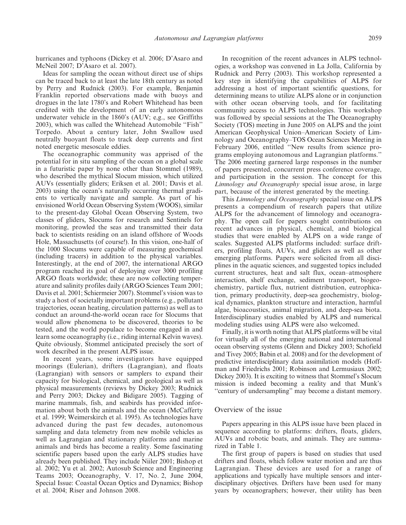hurricanes and typhoons (Dickey et al. 2006; D'Asaro and McNeil 2007; D'Asaro et al. 2007).

Ideas for sampling the ocean without direct use of ships can be traced back to at least the late 18th century as noted by Perry and Rudnick (2003). For example, Benjamin Franklin reported observations made with buoys and drogues in the late 1780's and Robert Whitehead has been credited with the development of an early autonomous underwater vehicle in the 1860's (AUV; e,g., see Griffiths 2003), which was called the Whitehead Automobile ''Fish'' Torpedo. About a century later, John Swallow used neutrally buoyant floats to track deep currents and first noted energetic mesoscale eddies.

The oceanographic community was apprised of the potential for in situ sampling of the ocean on a global scale in a futuristic paper by none other than Stommel (1989), who described the mythical Slocum mission, which utilized AUVs (essentially gliders; Eriksen et al. 2001; Davis et al. 2003) using the ocean's naturally occurring thermal gradients to vertically navigate and sample. As part of his envisioned World Ocean Observing System (WOOS), similar to the present-day Global Ocean Observing System, two classes of gliders, Slocums for research and Sentinels for monitoring, prowled the seas and transmitted their data back to scientists residing on an island offshore of Woods Hole, Massachusetts (of course!). In this vision, one-half of the 1000 Slocums were capable of measuring geochemical (including tracers) in addition to the physical variables. Interestingly, at the end of 2007, the international ARGO program reached its goal of deploying over 3000 profiling ARGO floats worldwide; these are now collecting temperature and salinity profiles daily (ARGO Sciences Team 2001; Davis et al. 2001; Schiermeier 2007). Stommel's vision was to study a host of societally important problems (e.g., pollutant trajectories, ocean heating, circulation patterns) as well as to conduct an around-the-world ocean race for Slocums that would allow phenomena to be discovered, theories to be tested, and the world populace to become engaged in and learn some oceanography (i.e., riding internal Kelvin waves). Quite obviously, Stommel anticipated precisely the sort of work described in the present ALPS issue.

In recent years, some investigators have equipped moorings (Eulerian), drifters (Lagrangian), and floats (Lagrangian) with sensors or samplers to expand their capacity for biological, chemical, and geological as well as physical measurements (reviews by Dickey 2003; Rudnick and Perry 2003; Dickey and Bidigare 2005). Tagging of marine mammals, fish, and seabirds has provided information about both the animals and the ocean (McCafferty et al. 1999; Weimerskirch et al. 1995). As technologies have advanced during the past few decades, autonomous sampling and data telemetry from new mobile vehicles as well as Lagrangian and stationary platforms and marine animals and birds has become a reality. Some fascinating scientific papers based upon the early ALPS studies have already been published. They include Niiler 2001; Bishop et al. 2002; Yu et al. 2002; Autosub Science and Engineering Teams 2003; Oceanography, V. 17, No. 2, June 2004, Special Issue: Coastal Ocean Optics and Dynamics; Bishop et al. 2004; Riser and Johnson 2008.

In recognition of the recent advances in ALPS technologies, a workshop was convened in La Jolla, California by Rudnick and Perry (2003). This workshop represented a key step in identifying the capabilities of ALPS for addressing a host of important scientific questions, for determining means to utilize ALPS alone or in conjunction with other ocean observing tools, and for facilitating community access to ALPS technologies. This workshop was followed by special sessions at the The Oceanography Society (TOS) meeting in June 2005 on ALPS and the joint American Geophysical Union–American Society of Limnology and Oceanography–TOS Ocean Sciences Meeting in February 2006, entitled ''New results from science programs employing autonomous and Lagrangian platforms.'' The 2006 meeting garnered large responses in the number of papers presented, concurrent press conference coverage, and participation in the session. The concept for this Limnology and Oceanography special issue arose, in large part, because of the interest generated by the meeting.

This Limnology and Oceanography special issue on ALPS presents a compendium of research papers that utilize ALPS for the advancement of limnology and oceanography. The open call for papers sought contributions on recent advances in physical, chemical, and biological studies that were enabled by ALPS on a wide range of scales. Suggested ALPS platforms included: surface drifters, profiling floats, AUVs, and gliders as well as other emerging platforms. Papers were solicited from all disciplines in the aquatic sciences, and suggested topics included current structures, heat and salt flux, ocean–atmosphere interaction, shelf exchange, sediment transport, biogeochemistry, particle flux, nutrient distribution, eutrophication, primary productivity, deep-sea geochemistry, biological dynamics, plankton structure and interaction, harmful algae, bioacoustics, animal migration, and deep-sea biota. Interdisciplinary studies enabled by ALPS and numerical modeling studies using ALPS were also welcomed.

Finally, it is worth noting that ALPS platforms will be vital for virtually all of the emerging national and international ocean observing systems (Glenn and Dickey 2003; Schofield and Tivey 2005; Babin et al. 2008) and for the development of predictive interdisciplinary data assimilation models (Hoffman and Friedrichs 2001; Robinson and Lermusiaux 2002; Dickey 2003). It is exciting to witness that Stommel's Slocum mission is indeed becoming a reality and that Munk's "century of undersampling" may become a distant memory.

#### Overview of the issue

Papers appearing in this ALPS issue have been placed in sequence according to platforms: drifters, floats, gliders, AUVs and robotic boats, and animals. They are summarized in Table 1.

The first group of papers is based on studies that used drifters and floats, which follow water motion and are thus Lagrangian. These devices are used for a range of applications and typically have multiple sensors and interdisciplinary objectives. Drifters have been used for many years by oceanographers; however, their utility has been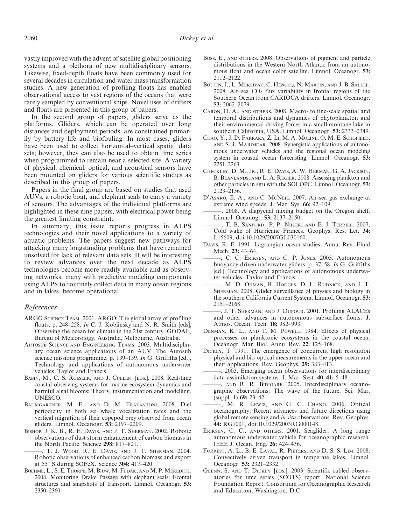vastly improved with the advent of satellite global positioning systems and a plethora of new multidisciplinary sensors. Likewise, fixed-depth floats have been commonly used for several decades in circulation and water mass transformation studies. A new generation of profiling floats has enabled observational access to vast regions of the oceans that were rarely sampled by conventional ships. Novel uses of drifters and floats are presented in this group of papers.

In the second group of papers, gliders serve as the platforms. Gliders, which can be operated over long distances and deployment periods, are constrained primarily by battery life and biofouling. In most cases, gliders have been used to collect horizontal–vertical spatial data sets; however, they can also be used to obtain time series when programmed to remain near a selected site. A variety of physical, chemical, optical, and acoustical sensors have been mounted on gliders for various scientific studies as described in this group of papers.

Papers in the final group are based on studies that used AUVs, a robotic boat, and elephant seals to carry a variety of sensors. The advantages of the individual platforms are highlighted in these nine papers, with electrical power being the greatest limiting constraint.

In summary, this issue reports progress in ALPS technologies and their novel applications to a variety of aquatic problems. The papers suggest new pathways for attacking many longstanding problems that have remained unsolved for lack of relevant data sets. It will be interesting to review advances over the next decade as ALPS technologies become more readily available and as observing networks, many with predictive modeling components using ALPS to routinely collect data in many ocean regions and in lakes, become operational.

#### References

- ARGO SCIENCE TEAM. 2001. ARGO: The global array of profiling floats, p. 248–258. In C. J. Koblinsky and N. R. Smith [eds], Observing the ocean for climate in the 21st century. GODAE, Bureau of Meteorology, Australia, Melbourne, Australia.
- AUTOSUB SCIENCE AND ENGINEERING TEAMS. 2003. Multidisciplinary ocean science applications of an AUV: The Autosub science missions programme, p. 139–159. In G. Griffiths [ed.], Technology and applications of autonomous underwater vehicles. Taylor and Francis.
- BABIN, M., C. S. ROESLER, AND J. CULLEN [EDS.]. 2008. Real-time coastal observing systems for marine ecosystem dynamics and harmful algal blooms: Theory, instrumentation and modelling. UNESCO.
- BAUMGARTNER, M. F., AND D. M. FRATANTONI. 2008. Diel periodicity in both sei whale vocalization rates and the vertical migration of their copepod prey observed from ocean gliders. Limnol. Oceanogr. 53: 2197–2209.
- BISHOP, J. K. B., R. E. DAVIS, AND J. T. SHERMAN. 2002. Robotic observations of dust storm enhancement of carbon biomass in the North Pacific. Science 298: 817–821.
- T. J. WOOD, R. E. DAVIS, AND J. T. SHERMAN. 2004. Robotic observations of enhanced carbon biomass and export at  $55^{\circ}$  S during SOFeX. Science 304: 417–420.
- BOEHME, L., S. E. THORPE, M. BIUW, M. FEDAK, AND M. P. MEREDITH. 2008. Monitoring Drake Passage with elephant seals: Frontal structures and snapshots of transport. Limnol. Oceanogr. 53: 2350–2360.
- BOSS, E., AND oTHERS. 2008. Observations of pigment and particle distributions in the Western North Atlantic from an autonomous float and ocean color satellite. Limnol. Oceanogr. 53: 2112–2122.
- BOUTIN, J., L. MERLIVAT, C. HÉNOCQ, N. MARTIN, AND J. B. SALLÉE. 2008. Air–sea  $CO<sub>2</sub>$  flux variability in frontal regions of the Southern Ocean from CARIOCA drifters. Limnol. Oceanogr. 53: 2062–2079.
- CARON, D. A., AND oTHERS. 2008. Macro- to fine-scale spatial and temporal distributions and dynamics of phytoplankton and their environmental driving forces in a small montane lake in southern California, USA. Limnol. Oceanogr. 53: 2333–2349.
- CHAO, Y., J. D. FARRARA, Z. LI, M. A. MOLINE, O. M. E. SCHOFIELD, AND S. J. MAJUMDAR. 2008. Synergistic applications of autonomous underwater vehicles and the regional ocean modeling system in coastal ocean forecasting. Limnol. Oceanogr. 53: 2251–2263.
- CHECKLEY, D. M., JR., R. E. DAVIS, A. W. HERMAN, G. A. JACKSON, B. BEANLANDS, AND L. A. REGIER. 2008. Assessing plankton and other particles in situ with the SOLOPC. Limnol. Oceanogr. 53: 2123–2136.
- D'ASARO, E. A., AND C. MCNEIL. 2007. Air-sea gas exchange at extreme wind speeds. J. Mar. Sys. 66: 92–109.
- . 2008. A diapycnal mixing budget on the Oregon shelf. Limnol. Oceanogr. 53: 2137–2150.
- , T. B. SANFORD, P. P. NIILER, AND E. J. TERRILL. 2007. Cold wake of Hurricane Frances. Geophys. Res. Let. 34: L15609, doi:10.1029/2007GL030160.
- DAVIS, R. E. 1991. Lagrangian ocean studies. Annu. Rev. Fluid Mech. 23: 43–64.
- ———, C. C. ERIKSEN, AND C. P. JONES. 2003. Autonomous buoyancy-driven underwater gliders, p. 37–58. In G. Griffiths [ed.], Technology and applications of autonomous underwater vehicles. Taylor and Francis.
- ———, M. D. OHMAN, B. HODGES, D. L. RUDNICK, AND J. T. SHERMAN. 2008. Glider surveillance of physics and biology in the southern California Current System. Limnol. Oceanogr. 53: 2151–2168.
- , J. T. SHERMAN, AND J. DUFOUR. 2001. Profiling ALACEs and other advances in autonomous subsurface floats. J. Atmos. Ocean. Tech. 18: 982–993.
- DENMAN, K. L., AND T. M. POWELL. 1984. Effects of physical processes on planktonic ecosystems in the coastal ocean. Oceanogr. Mar. Biol. Annu. Rev. 22: 125–168.
- DICKEY, T. 1991. The emergence of concurrent high resolution physical and bio-optical measurements in the upper ocean and their applications. Rev. Geophys. 29: 383–413.
	- ———. 2003. Emerging ocean observations for interdisciplinary data assimilation systems. J. Mar. Syst. 40–41: 5–48.
- ———, AND R. R. BIDIGARE. 2005. Interdisciplinary oceanographic observations: The wave of the future. Sci. Mar. (suppl. 1) 69: 23–42.
- , M. R. LEWIS, AND G. C. CHANG. 2006. Optical oceanography: Recent advances and future directions using global remote sensing and *in situ* observations. Rev. Geophys. 44: RG1001, doi:10.1029/2003RG000148.
- ERIKSEN, C. C., AND oTHERS. 2001. Seaglider: A long range autonomous underwater vehicle for oceanographic research. IEEE J. Ocean. Eng. 26: 424–436.
- FORREST, A. L., B. E. LAVAL, R. PIETERS, AND D. S. S. LIM. 2008. Convectively driven transport in temperate lakes. Limnol. Oceanogr. 53: 2321–2332.
- GLENN, S. AND T. DICKEY [EDS.]. 2003. Scientific cabled observatories for time series (SCOTS) report. National Science Foundation Report. Consortium for Oceanographic Research and Education, Washington, D.C.